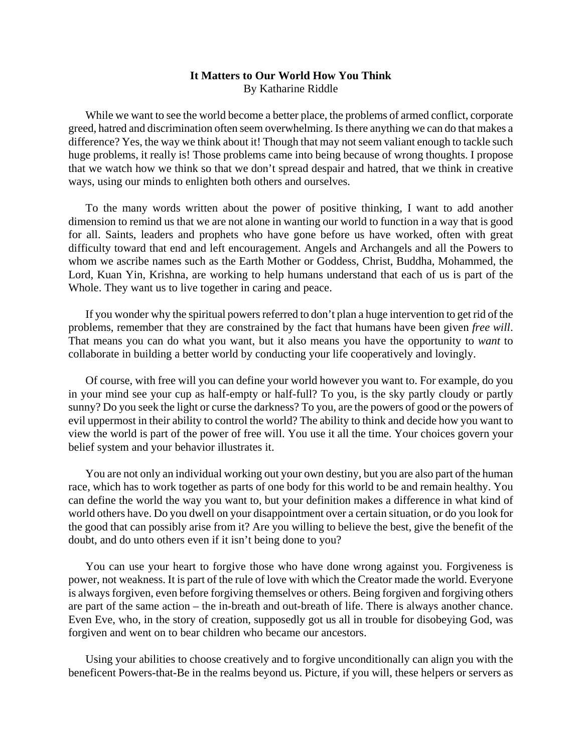## **It Matters to Our World How You Think**  By Katharine Riddle

 While we want to see the world become a better place, the problems of armed conflict, corporate greed, hatred and discrimination often seem overwhelming. Is there anything we can do that makes a difference? Yes, the way we think about it! Though that may not seem valiant enough to tackle such huge problems, it really is! Those problems came into being because of wrong thoughts. I propose that we watch how we think so that we don't spread despair and hatred, that we think in creative ways, using our minds to enlighten both others and ourselves.

 To the many words written about the power of positive thinking, I want to add another dimension to remind us that we are not alone in wanting our world to function in a way that is good for all. Saints, leaders and prophets who have gone before us have worked, often with great difficulty toward that end and left encouragement. Angels and Archangels and all the Powers to whom we ascribe names such as the Earth Mother or Goddess, Christ, Buddha, Mohammed, the Lord, Kuan Yin, Krishna, are working to help humans understand that each of us is part of the Whole. They want us to live together in caring and peace.

 If you wonder why the spiritual powers referred to don't plan a huge intervention to get rid of the problems, remember that they are constrained by the fact that humans have been given *free will*. That means you can do what you want, but it also means you have the opportunity to *want* to collaborate in building a better world by conducting your life cooperatively and lovingly.

 Of course, with free will you can define your world however you want to. For example, do you in your mind see your cup as half-empty or half-full? To you, is the sky partly cloudy or partly sunny? Do you seek the light or curse the darkness? To you, are the powers of good or the powers of evil uppermost in their ability to control the world? The ability to think and decide how you want to view the world is part of the power of free will. You use it all the time. Your choices govern your belief system and your behavior illustrates it.

 You are not only an individual working out your own destiny, but you are also part of the human race, which has to work together as parts of one body for this world to be and remain healthy. You can define the world the way you want to, but your definition makes a difference in what kind of world others have. Do you dwell on your disappointment over a certain situation, or do you look for the good that can possibly arise from it? Are you willing to believe the best, give the benefit of the doubt, and do unto others even if it isn't being done to you?

 You can use your heart to forgive those who have done wrong against you. Forgiveness is power, not weakness. It is part of the rule of love with which the Creator made the world. Everyone is always forgiven, even before forgiving themselves or others. Being forgiven and forgiving others are part of the same action – the in-breath and out-breath of life. There is always another chance. Even Eve, who, in the story of creation, supposedly got us all in trouble for disobeying God, was forgiven and went on to bear children who became our ancestors.

 Using your abilities to choose creatively and to forgive unconditionally can align you with the beneficent Powers-that-Be in the realms beyond us. Picture, if you will, these helpers or servers as